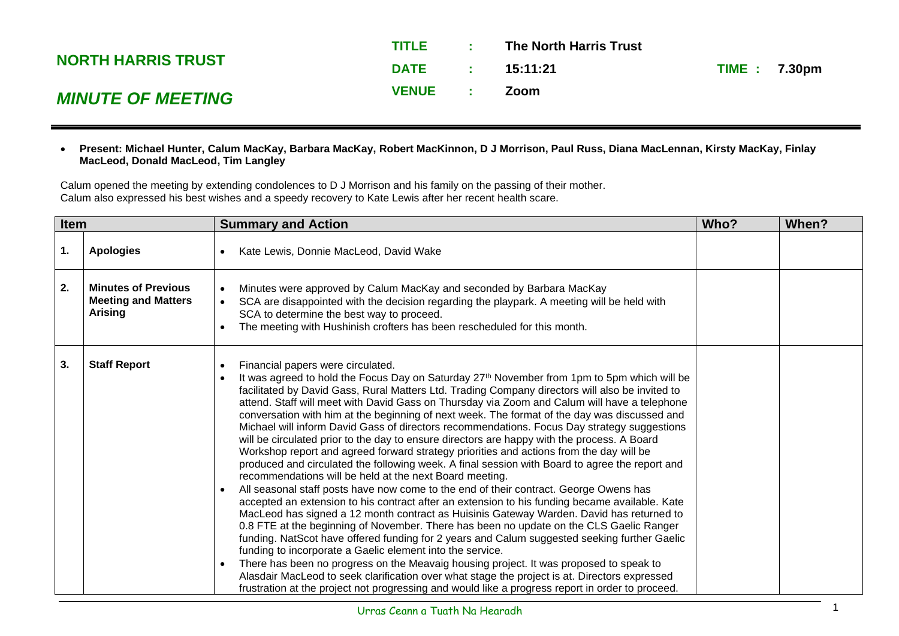|                           | TITLE        | <b>Contract Contract</b> | <b>The North Harris Trust</b> |                     |  |
|---------------------------|--------------|--------------------------|-------------------------------|---------------------|--|
| <b>NORTH HARRIS TRUST</b> | DATE:        |                          | 15:11:21                      | <b>TIME: 7.30pm</b> |  |
| <b>MINUTE OF MEETING</b>  | <b>VENUE</b> |                          | <b>Zoom</b>                   |                     |  |

## • **Present: Michael Hunter, Calum MacKay, Barbara MacKay, Robert MacKinnon, D J Morrison, Paul Russ, Diana MacLennan, Kirsty MacKay, Finlay MacLeod, Donald MacLeod, Tim Langley**

Calum opened the meeting by extending condolences to D J Morrison and his family on the passing of their mother. Calum also expressed his best wishes and a speedy recovery to Kate Lewis after her recent health scare.

| Item |                                                                            | <b>Summary and Action</b>                                                                                                                                                                                                                                                                                                                                                                                                                                                                                                                                                                                                                                                                                                                                                                                                                                                                                                                                                                                                                                                                                                                                                                                                                                                                                                                                                                                                                                                                                                                                                                                                                                                                                                                            |  | When? |
|------|----------------------------------------------------------------------------|------------------------------------------------------------------------------------------------------------------------------------------------------------------------------------------------------------------------------------------------------------------------------------------------------------------------------------------------------------------------------------------------------------------------------------------------------------------------------------------------------------------------------------------------------------------------------------------------------------------------------------------------------------------------------------------------------------------------------------------------------------------------------------------------------------------------------------------------------------------------------------------------------------------------------------------------------------------------------------------------------------------------------------------------------------------------------------------------------------------------------------------------------------------------------------------------------------------------------------------------------------------------------------------------------------------------------------------------------------------------------------------------------------------------------------------------------------------------------------------------------------------------------------------------------------------------------------------------------------------------------------------------------------------------------------------------------------------------------------------------------|--|-------|
| 1.   | <b>Apologies</b>                                                           | Kate Lewis, Donnie MacLeod, David Wake                                                                                                                                                                                                                                                                                                                                                                                                                                                                                                                                                                                                                                                                                                                                                                                                                                                                                                                                                                                                                                                                                                                                                                                                                                                                                                                                                                                                                                                                                                                                                                                                                                                                                                               |  |       |
| 2.   | <b>Minutes of Previous</b><br><b>Meeting and Matters</b><br><b>Arising</b> | Minutes were approved by Calum MacKay and seconded by Barbara MacKay<br>SCA are disappointed with the decision regarding the playpark. A meeting will be held with<br>SCA to determine the best way to proceed.<br>The meeting with Hushinish crofters has been rescheduled for this month.                                                                                                                                                                                                                                                                                                                                                                                                                                                                                                                                                                                                                                                                                                                                                                                                                                                                                                                                                                                                                                                                                                                                                                                                                                                                                                                                                                                                                                                          |  |       |
| 3.   | <b>Staff Report</b>                                                        | Financial papers were circulated.<br>$\bullet$<br>It was agreed to hold the Focus Day on Saturday 27th November from 1pm to 5pm which will be<br>facilitated by David Gass, Rural Matters Ltd. Trading Company directors will also be invited to<br>attend. Staff will meet with David Gass on Thursday via Zoom and Calum will have a telephone<br>conversation with him at the beginning of next week. The format of the day was discussed and<br>Michael will inform David Gass of directors recommendations. Focus Day strategy suggestions<br>will be circulated prior to the day to ensure directors are happy with the process. A Board<br>Workshop report and agreed forward strategy priorities and actions from the day will be<br>produced and circulated the following week. A final session with Board to agree the report and<br>recommendations will be held at the next Board meeting.<br>All seasonal staff posts have now come to the end of their contract. George Owens has<br>accepted an extension to his contract after an extension to his funding became available. Kate<br>MacLeod has signed a 12 month contract as Huisinis Gateway Warden. David has returned to<br>0.8 FTE at the beginning of November. There has been no update on the CLS Gaelic Ranger<br>funding. NatScot have offered funding for 2 years and Calum suggested seeking further Gaelic<br>funding to incorporate a Gaelic element into the service.<br>There has been no progress on the Meavaig housing project. It was proposed to speak to<br>Alasdair MacLeod to seek clarification over what stage the project is at. Directors expressed<br>frustration at the project not progressing and would like a progress report in order to proceed. |  |       |